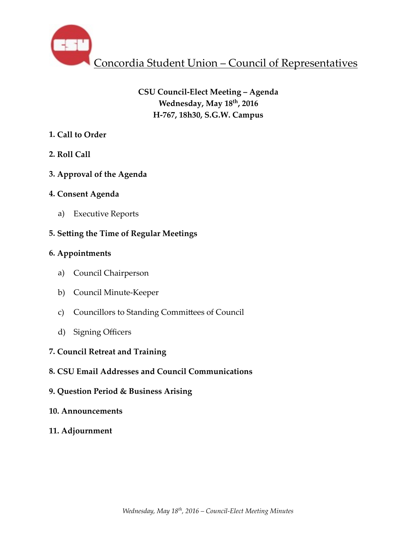

# **CSU Council-Elect Meeting – Agenda Wednesday, May 18th, 2016 H-767, 18h30, S.G.W. Campus**

# **1. Call to Order**

- **2. Roll Call**
- **3. Approval of the Agenda**
- **4. Consent Agenda** 
	- a) Executive Reports

# **5. Setting the Time of Regular Meetings**

## **6. Appointments**

- a) Council Chairperson
- b) Council Minute-Keeper
- c) Councillors to Standing Committees of Council
- d) Signing Officers
- **7. Council Retreat and Training**
- **8. CSU Email Addresses and Council Communications**
- **9. Question Period & Business Arising**
- **10. Announcements**
- **11. Adjournment**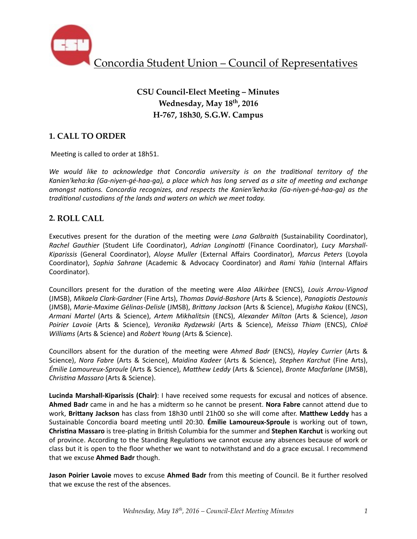

# **CSU Council-Elect Meeting – Minutes Wednesday, May 18th, 2016 H-767, 18h30, S.G.W. Campus**

## **1. CALL TO ORDER**

Meeting is called to order at 18h51.

We would like to acknowledge that Concordia university is on the traditional territory of the Kanien'keha:ka (Ga-niyen-gé-haa-ga), a place which has long served as a site of meeting and exchange *amongst nations. Concordia recognizes, and respects the Kanien'keha:ka (Ga-niyen-gé-haa-ga)* as the *traditional custodians of the lands and waters on which we meet today.* 

## **2. ROLL CALL**

Executives present for the duration of the meeting were *Lana Galbraith* (Sustainability Coordinator), *Rachel Gauthier* (Student Life Coordinator), *Adrian Longinotti* (Finance Coordinator), *Lucy Marshall-Kiparissis*  (General Coordinator), *Aloyse Muller*  (External Affairs Coordinator), *Marcus Peters*  (Loyola Coordinator), Sophia Sahrane (Academic & Advocacy Coordinator) and Rami Yahia (Internal Affairs Coordinator). 

Councillors present for the duration of the meeting were *Alaa Alkirbee* (ENCS), *Louis Arrou-Vignod* (JMSB), *Mikaela Clark-Gardner* (Fine Arts), *Thomas David-Bashore* (Arts & Science), *Panagio6s Destounis* (JMSB), Marie-Maxime Gélinas-Delisle (JMSB), Brittany Jackson (Arts & Science), Mugisha Kakou (ENCS), *Armani Martel* (Arts & Science), *Artem Mikhalitsin* (ENCS), *Alexander Milton* (Arts & Science), *Jason Poirier Lavoie* (Arts & Science), *Veronika Rydzewski* (Arts & Science), *Meissa Thiam* (ENCS), *Chloë Williams* (Arts & Science) and *Robert Young* (Arts & Science).

Councillors absent for the duration of the meeting were *Ahmed Badr* (ENCS), *Hayley Currier* (Arts & Science), *Nora Fabre* (Arts & Science), *Maidina Kadeer* (Arts & Science), *Stephen Karchut* (Fine Arts), *Émilie Lamoureux-Sproule* (Arts & Science), *Matthew Leddy* (Arts & Science), *Bronte Macfarlane* (JMSB), *Chris6na Massaro* (Arts & Science). 

Lucinda Marshall-Kiparissis (Chair): I have received some requests for excusal and notices of absence. Ahmed Badr came in and he has a midterm so he cannot be present. Nora Fabre cannot attend due to work, Brittany Jackson has class from 18h30 until 21h00 so she will come after. Matthew Leddy has a Sustainable Concordia board meeting until 20:30. **Émilie Lamoureux-Sproule** is working out of town, **Christina Massaro** is tree-plating in British Columbia for the summer and **Stephen Karchut** is working out of province. According to the Standing Regulations we cannot excuse any absences because of work or class but it is open to the floor whether we want to notwithstand and do a grace excusal. I recommend that we excuse **Ahmed Badr** though.

**Jason Poirier Lavoie** moves to excuse Ahmed Badr from this meeting of Council. Be it further resolved that we excuse the rest of the absences.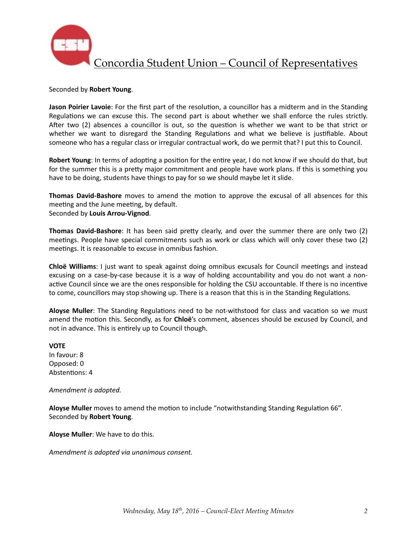

#### Seconded by **Robert Young**.

**Jason Poirier Lavoie**: For the first part of the resolution, a councillor has a midterm and in the Standing Regulations we can excuse this. The second part is about whether we shall enforce the rules strictly. After two  $(2)$  absences a councillor is out, so the question is whether we want to be that strict or whether we want to disregard the Standing Regulations and what we believe is justifiable. About someone who has a regular class or irregular contractual work, do we permit that? I put this to Council.

**Robert Young**: In terms of adopting a position for the entire year, I do not know if we should do that, but for the summer this is a pretty major commitment and people have work plans. If this is something you have to be doing, students have things to pay for so we should maybe let it slide.

**Thomas David-Bashore** moves to amend the motion to approve the excusal of all absences for this meeting and the June meeting, by default. Seconded by **Louis Arrou-Vignod**. 

**Thomas David-Bashore**: It has been said pretty clearly, and over the summer there are only two (2) meetings. People have special commitments such as work or class which will only cover these two (2) meetings. It is reasonable to excuse in omnibus fashion.

**Chloë Williams**: I just want to speak against doing omnibus excusals for Council meetings and instead excusing on a case-by-case because it is a way of holding accountability and you do not want a nonactive Council since we are the ones responsible for holding the CSU accountable. If there is no incentive to come, councillors may stop showing up. There is a reason that this is in the Standing Regulations.

Aloyse Muller: The Standing Regulations need to be not-withstood for class and vacation so we must amend the motion this. Secondly, as for **Chloë**'s comment, absences should be excused by Council, and not in advance. This is entirely up to Council though.

**VOTE** In favour: 8 Opposed: 0 Abstentions: 4

Amendment is adopted.

Aloyse Muller moves to amend the motion to include "notwithstanding Standing Regulation 66". Seconded by **Robert Young**. 

**Aloyse Muller**: We have to do this.

*Amendment is adopted via unanimous consent.*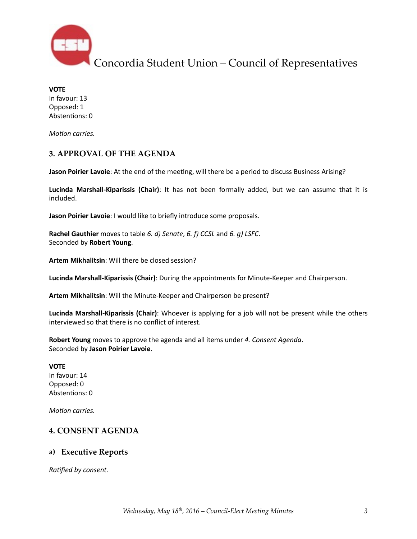

**VOTE** In favour: 13 Opposed: 1 Abstentions: 0

*Motion carries.* 

## **3. APPROVAL OF THE AGENDA**

**Jason Poirier Lavoie**: At the end of the meeting, will there be a period to discuss Business Arising?

Lucinda Marshall-Kiparissis (Chair): It has not been formally added, but we can assume that it is included. 

**Jason Poirier Lavoie**: I would like to briefly introduce some proposals.

**Rachel Gauthier** moves to table 6. d) Senate, 6. f) CCSL and 6. g) LSFC. Seconded by **Robert Young**. 

**Artem Mikhalitsin:** Will there be closed session?

Lucinda Marshall-Kiparissis (Chair): During the appointments for Minute-Keeper and Chairperson.

Artem Mikhalitsin: Will the Minute-Keeper and Chairperson be present?

Lucinda Marshall-Kiparissis (Chair): Whoever is applying for a job will not be present while the others interviewed so that there is no conflict of interest.

**Robert Young** moves to approve the agenda and all items under 4. Consent Agenda. Seconded by **Jason Poirier Lavoie**. 

## **VOTE**

In favour: 14 Opposed: 0 Abstentions: 0

*Motion carries.* 

# **4. CONSENT AGENDA**

## **a) Executive Reports**

**Ratified by consent.**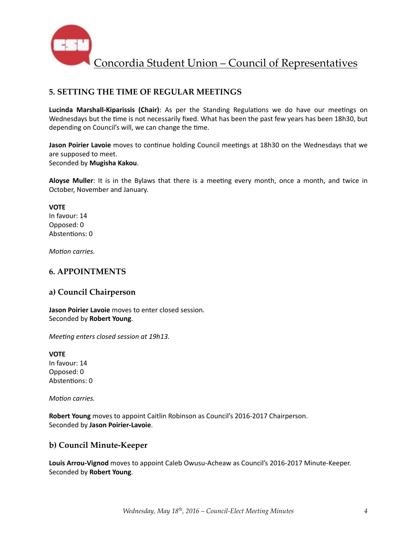

## **5. SETTING THE TIME OF REGULAR MEETINGS**

Lucinda Marshall-Kiparissis (Chair): As per the Standing Regulations we do have our meetings on Wednesdays but the time is not necessarily fixed. What has been the past few years has been 18h30, but depending on Council's will, we can change the time.

**Jason Poirier Lavoie** moves to continue holding Council meetings at 18h30 on the Wednesdays that we are supposed to meet. Seconded by **Mugisha Kakou**.

**Aloyse Muller**: It is in the Bylaws that there is a meeting every month, once a month, and twice in October, November and January.

### **VOTE**

In favour: 14 Opposed: 0 Abstentions: 0

*Motion carries.* 

## **6. APPOINTMENTS**

## **a) Council Chairperson**

**Jason Poirier Lavoie** moves to enter closed session. Seconded by **Robert Young**. 

*Meeting enters closed session at 19h13.* 

**VOTE** In favour: 14 Opposed: 0 Abstentions: 0

*Motion carries.* 

**Robert Young** moves to appoint Caitlin Robinson as Council's 2016-2017 Chairperson. Seconded by **Jason Poirier-Lavoie**. 

## **b) Council Minute-Keeper**

Louis Arrou-Vignod moves to appoint Caleb Owusu-Acheaw as Council's 2016-2017 Minute-Keeper. Seconded by **Robert Young**.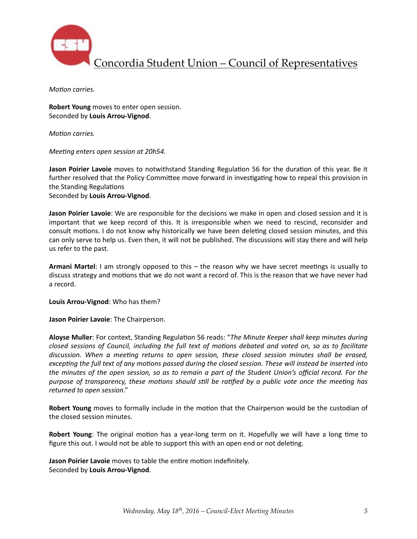

*Motion carries.* 

**Robert Young** moves to enter open session. Seconded by **Louis Arrou-Vignod**. 

*Motion carries.* 

*Meeting enters open session at 20h54.* 

**Jason Poirier Lavoie** moves to notwithstand Standing Regulation 56 for the duration of this year. Be it further resolved that the Policy Committee move forward in investigating how to repeal this provision in the Standing Regulations

Seconded by **Louis Arrou-Vignod**. 

**Jason Poirier Lavoie**: We are responsible for the decisions we make in open and closed session and it is important that we keep record of this. It is irresponsible when we need to rescind, reconsider and consult motions. I do not know why historically we have been deleting closed session minutes, and this can only serve to help us. Even then, it will not be published. The discussions will stay there and will help us refer to the past.

**Armani Martel:** I am strongly opposed to this – the reason why we have secret meetings is usually to discuss strategy and motions that we do not want a record of. This is the reason that we have never had a record. 

Louis Arrou-Vignod: Who has them?

**Jason Poirier Lavoie:** The Chairperson.

Aloyse Muller: For context, Standing Regulation 56 reads: "The Minute Keeper shall keep minutes during *closed sessions of Council, including the full text of motions debated and voted on, so as to facilitate* discussion. When a meeting returns to open session, these closed session minutes shall be erased, *excepting the full text of any motions passed during the closed session. These will instead be inserted into the minutes of the open session, so as to remain a part of the Student Union's official record. For the* purpose of transparency, these motions should still be ratified by a public vote once the meeting has *returned to open session*." 

**Robert Young** moves to formally include in the motion that the Chairperson would be the custodian of the closed session minutes.

**Robert Young**: The original motion has a year-long term on it. Hopefully we will have a long time to figure this out. I would not be able to support this with an open end or not deleting.

**Jason Poirier Lavoie** moves to table the entire motion indefinitely. Seconded by **Louis Arrou-Vignod**.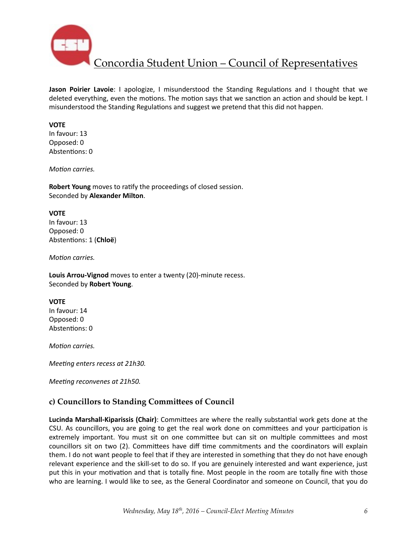

**Jason Poirier Lavoie**: I apologize, I misunderstood the Standing Regulations and I thought that we deleted everything, even the motions. The motion says that we sanction an action and should be kept. I misunderstood the Standing Regulations and suggest we pretend that this did not happen.

### **VOTE**

In favour: 13 Opposed: 0 Abstentions: 0

*Motion carries.* 

**Robert Young** moves to ratify the proceedings of closed session. Seconded by **Alexander Milton**. 

### **VOTE**

In favour: 13 Opposed: 0 Abstentions: 1 (Chloë)

*Motion carries.* 

Louis Arrou-Vignod moves to enter a twenty (20)-minute recess. Seconded by **Robert Young**. 

### **VOTE**

In favour: 14 Opposed: 0 Abstentions: 0

*Motion carries.* 

*Meeting enters recess at 21h30.* 

*Meeting reconvenes at 21h50.* 

## c) Councillors to Standing Committees of Council

**Lucinda Marshall-Kiparissis (Chair)**: Committees are where the really substantial work gets done at the CSU. As councillors, you are going to get the real work done on committees and your participation is extremely important. You must sit on one committee but can sit on multiple committees and most councillors sit on two (2). Committees have diff time commitments and the coordinators will explain them. I do not want people to feel that if they are interested in something that they do not have enough relevant experience and the skill-set to do so. If you are genuinely interested and want experience, just put this in your motivation and that is totally fine. Most people in the room are totally fine with those who are learning. I would like to see, as the General Coordinator and someone on Council, that you do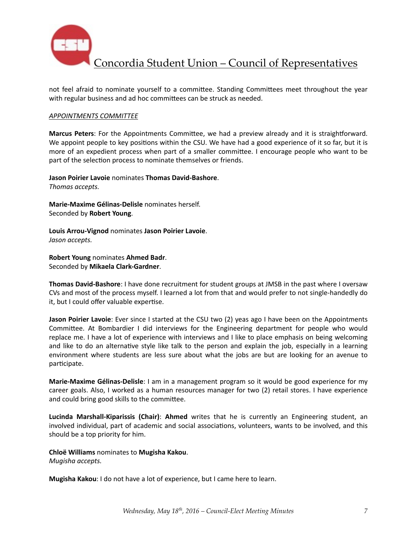

not feel afraid to nominate yourself to a committee. Standing Committees meet throughout the year with regular business and ad hoc committees can be struck as needed.

### **APPOINTMENTS COMMITTEE**

Marcus Peters: For the Appointments Committee, we had a preview already and it is straightforward. We appoint people to key positions within the CSU. We have had a good experience of it so far, but it is more of an expedient process when part of a smaller committee. I encourage people who want to be part of the selection process to nominate themselves or friends.

**Jason Poirier Lavoie** nominates Thomas David-Bashore. *Thomas accepts.* 

**Marie-Maxime Gélinas-Delisle** nominates herself. Seconded by **Robert Young**. 

**Louis Arrou-Vignod** nominates **Jason Poirier Lavoie**. *Jason accepts.* 

**Robert Young** nominates Ahmed Badr. Seconded by **Mikaela Clark-Gardner**.

**Thomas David-Bashore**: I have done recruitment for student groups at JMSB in the past where I oversaw CVs and most of the process myself. I learned a lot from that and would prefer to not single-handedly do it, but I could offer valuable expertise.

**Jason Poirier Lavoie**: Ever since I started at the CSU two (2) yeas ago I have been on the Appointments Committee. At Bombardier I did interviews for the Engineering department for people who would replace me. I have a lot of experience with interviews and I like to place emphasis on being welcoming and like to do an alternative style like talk to the person and explain the job, especially in a learning environment where students are less sure about what the jobs are but are looking for an avenue to participate.

**Marie-Maxime Gélinas-Delisle**: I am in a management program so it would be good experience for my career goals. Also, I worked as a human resources manager for two (2) retail stores. I have experience and could bring good skills to the committee.

**Lucinda Marshall-Kiparissis (Chair): Ahmed** writes that he is currently an Engineering student, an involved individual, part of academic and social associations, volunteers, wants to be involved, and this should be a top priority for him.

**Chloë Williams** nominates to **Mugisha Kakou**. 

*Mugisha accepts.* 

**Mugisha Kakou**: I do not have a lot of experience, but I came here to learn.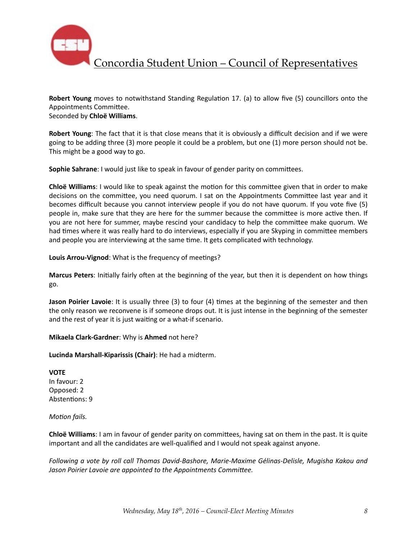

**Robert Young** moves to notwithstand Standing Regulation 17. (a) to allow five (5) councillors onto the Appointments Committee. Seconded by **Chloë Williams**. 

**Robert Young**: The fact that it is that close means that it is obviously a difficult decision and if we were going to be adding three (3) more people it could be a problem, but one (1) more person should not be. This might be a good way to go.

**Sophie Sahrane**: I would just like to speak in favour of gender parity on committees.

**Chloë Williams**: I would like to speak against the motion for this committee given that in order to make decisions on the committee, you need quorum. I sat on the Appointments Committee last year and it becomes difficult because you cannot interview people if you do not have quorum. If you vote five (5) people in, make sure that they are here for the summer because the committee is more active then. If you are not here for summer, maybe rescind your candidacy to help the committee make quorum. We had times where it was really hard to do interviews, especially if you are Skyping in committee members and people you are interviewing at the same time. It gets complicated with technology.

Louis Arrou-Vignod: What is the frequency of meetings?

**Marcus Peters**: Initially fairly often at the beginning of the year, but then it is dependent on how things go. 

**Jason Poirier Lavoie**: It is usually three (3) to four (4) times at the beginning of the semester and then the only reason we reconvene is if someone drops out. It is just intense in the beginning of the semester and the rest of year it is just waiting or a what-if scenario.

**Mikaela Clark-Gardner:** Why is Ahmed not here?

Lucinda Marshall-Kiparissis (Chair): He had a midterm.

**VOTE** In favour: 2 Opposed: 2 Abstentions: 9

*Motion fails.* 

**Chloë Williams**: I am in favour of gender parity on committees, having sat on them in the past. It is quite important and all the candidates are well-qualified and I would not speak against anyone.

Following a vote by roll call Thomas David-Bashore, Marie-Maxime Gélinas-Delisle, Mugisha Kakou and Jason Poirier Lavoie are appointed to the Appointments Committee.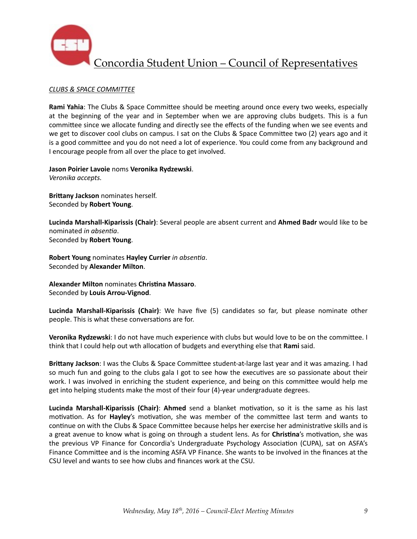

### *CLUBS & SPACE COMMITTEE*

**Rami Yahia**: The Clubs & Space Committee should be meeting around once every two weeks, especially at the beginning of the year and in September when we are approving clubs budgets. This is a fun committee since we allocate funding and directly see the effects of the funding when we see events and we get to discover cool clubs on campus. I sat on the Clubs & Space Committee two (2) years ago and it is a good committee and you do not need a lot of experience. You could come from any background and I encourage people from all over the place to get involved.

**Jason Poirier Lavoie** noms **Veronika Rydzewski**. *Veronika accepts.* 

**Brittany Jackson** nominates herself. Seconded by **Robert Young**. 

Lucinda Marshall-Kiparissis (Chair): Several people are absent current and Ahmed Badr would like to be nominated *in absentia*. Seconded by **Robert Young**. 

**Robert Young** nominates **Hayley Currier** in absentia. Seconded by **Alexander Milton**. 

**Alexander Milton** nominates Christina Massaro. Seconded by **Louis Arrou-Vignod**. 

Lucinda Marshall-Kiparissis (Chair): We have five (5) candidates so far, but please nominate other people. This is what these conversations are for.

**Veronika Rydzewski**: I do not have much experience with clubs but would love to be on the committee. I think that I could help out wth allocation of budgets and everything else that **Rami** said.

**Brittany Jackson**: I was the Clubs & Space Committee student-at-large last year and it was amazing. I had so much fun and going to the clubs gala I got to see how the executives are so passionate about their work. I was involved in enriching the student experience, and being on this committee would help me get into helping students make the most of their four (4)-year undergraduate degrees.

**Lucinda Marshall-Kiparissis (Chair): Ahmed** send a blanket motivation, so it is the same as his last motivation. As for **Hayley**'s motivation, she was member of the committee last term and wants to continue on with the Clubs & Space Committee because helps her exercise her administrative skills and is a great avenue to know what is going on through a student lens. As for *Christina's* motivation, she was the previous VP Finance for Concordia's Undergraduate Psychology Association (CUPA), sat on ASFA's Finance Committee and is the incoming ASFA VP Finance. She wants to be involved in the finances at the CSU level and wants to see how clubs and finances work at the CSU.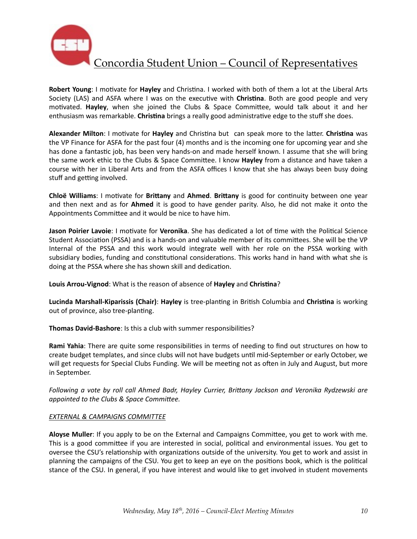

**Robert Young:** I motivate for **Hayley** and Christina. I worked with both of them a lot at the Liberal Arts Society (LAS) and ASFA where I was on the executive with **Christina**. Both are good people and very motivated. Hayley, when she joined the Clubs & Space Committee, would talk about it and her enthusiasm was remarkable. Christina brings a really good administrative edge to the stuff she does.

**Alexander Milton**: I motivate for **Hayley** and Christina but can speak more to the latter. Christina was the VP Finance for ASFA for the past four (4) months and is the incoming one for upcoming year and she has done a fantastic job, has been very hands-on and made herself known. I assume that she will bring the same work ethic to the Clubs & Space Committee. I know Hayley from a distance and have taken a course with her in Liberal Arts and from the ASFA offices I know that she has always been busy doing stuff and getting involved.

**Chloë Williams:** I motivate for **Brittany** and **Ahmed**. Brittany is good for continuity between one year and then next and as for Ahmed it is good to have gender parity. Also, he did not make it onto the Appointments Committee and it would be nice to have him.

**Jason Poirier Lavoie**: I motivate for Veronika. She has dedicated a lot of time with the Political Science Student Association (PSSA) and is a hands-on and valuable member of its committees. She will be the VP Internal of the PSSA and this work would integrate well with her role on the PSSA working with subsidiary bodies, funding and constitutional considerations. This works hand in hand with what she is doing at the PSSA where she has shown skill and dedication.

Louis Arrou-Vignod: What is the reason of absence of Hayley and Christina?

**Lucinda Marshall-Kiparissis (Chair): Hayley** is tree-planting in British Columbia and Christina is working out of province, also tree-planting.

**Thomas David-Bashore:** Is this a club with summer responsibilities?

**Rami Yahia**: There are quite some responsibilities in terms of needing to find out structures on how to create budget templates, and since clubs will not have budgets until mid-September or early October, we will get requests for Special Clubs Funding. We will be meeting not as often in July and August, but more in September.

*Following* a vote by roll call Ahmed Badr, Hayley Currier, Brittany Jackson and Veronika Rydzewski are appointed to the Clubs & Space Committee.

### **EXTERNAL & CAMPAIGNS COMMITTEE**

Aloyse Muller: If you apply to be on the External and Campaigns Committee, you get to work with me. This is a good committee if you are interested in social, political and environmental issues. You get to oversee the CSU's relationship with organizations outside of the university. You get to work and assist in planning the campaigns of the CSU. You get to keep an eye on the positions book, which is the political stance of the CSU. In general, if you have interest and would like to get involved in student movements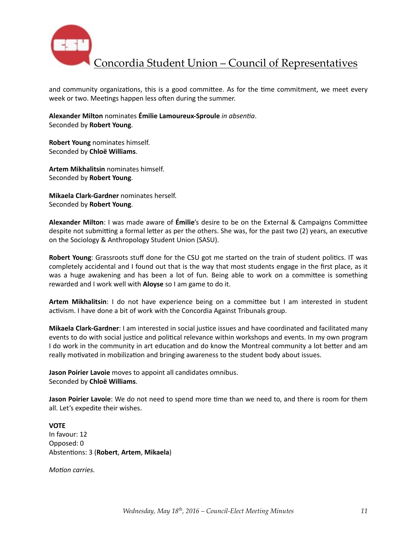

and community organizations, this is a good committee. As for the time commitment, we meet every week or two. Meetings happen less often during the summer.

Alexander Milton nominates **Émilie Lamoureux-Sproule** in absentia. Seconded by **Robert Young**. 

**Robert Young** nominates himself. Seconded by **Chloë Williams**. 

**Artem Mikhalitsin nominates himself.** Seconded by **Robert Young**. 

**Mikaela Clark-Gardner** nominates herself. Seconded by **Robert Young**. 

**Alexander Milton:** I was made aware of **Émilie**'s desire to be on the External & Campaigns Committee despite not submitting a formal letter as per the others. She was, for the past two (2) years, an executive on the Sociology & Anthropology Student Union (SASU).

**Robert Young**: Grassroots stuff done for the CSU got me started on the train of student politics. IT was completely accidental and I found out that is the way that most students engage in the first place, as it was a huge awakening and has been a lot of fun. Being able to work on a committee is something rewarded and I work well with Aloyse so I am game to do it.

**Artem Mikhalitsin**: I do not have experience being on a committee but I am interested in student activism. I have done a bit of work with the Concordia Against Tribunals group.

**Mikaela Clark-Gardner**: I am interested in social justice issues and have coordinated and facilitated many events to do with social justice and political relevance within workshops and events. In my own program I do work in the community in art education and do know the Montreal community a lot better and am really motivated in mobilization and bringing awareness to the student body about issues.

**Jason Poirier Lavoie** moves to appoint all candidates omnibus. Seconded by **Chloë Williams**. 

**Jason Poirier Lavoie**: We do not need to spend more time than we need to, and there is room for them all. Let's expedite their wishes.

**VOTE** In favour: 12 Opposed: 0 Abstentions: 3 (Robert, Artem, Mikaela)

*Motion carries.*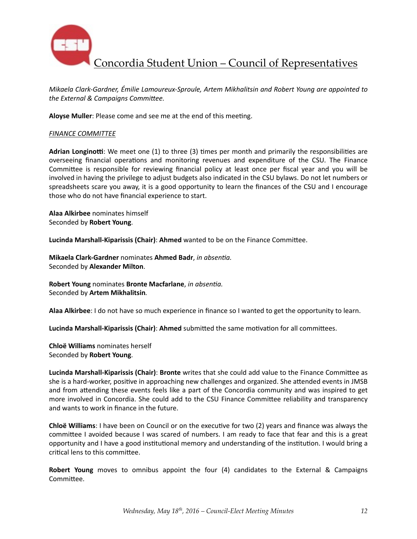

*Mikaela Clark-Gardner, Émilie Lamoureux-Sproule, Artem Mikhalitsin and Robert Young are appointed to* the External & Campaigns Committee.

Aloyse Muller: Please come and see me at the end of this meeting.

### **FINANCE COMMITTEE**

Adrian Longinotti: We meet one (1) to three (3) times per month and primarily the responsibilities are overseeing financial operations and monitoring revenues and expenditure of the CSU. The Finance Committee is responsible for reviewing financial policy at least once per fiscal year and you will be involved in having the privilege to adjust budgets also indicated in the CSU bylaws. Do not let numbers or spreadsheets scare you away, it is a good opportunity to learn the finances of the CSU and I encourage those who do not have financial experience to start.

**Alaa Alkirbee** nominates himself Seconded by **Robert Young**. 

**Lucinda Marshall-Kiparissis (Chair): Ahmed** wanted to be on the Finance Committee.

**Mikaela Clark-Gardner** nominates **Ahmed Badr**, *in absentia.* Seconded by **Alexander Milton**. 

**Robert Young** nominates **Bronte Macfarlane**, *in absentia.* Seconded by **Artem Mikhalitsin***.*

Alaa Alkirbee: I do not have so much experience in finance so I wanted to get the opportunity to learn.

Lucinda Marshall-Kiparissis (Chair): Ahmed submitted the same motivation for all committees.

**Chloë Williams** nominates herself Seconded by **Robert Young**. 

**Lucinda Marshall-Kiparissis (Chair): Bronte** writes that she could add value to the Finance Committee as she is a hard-worker, positive in approaching new challenges and organized. She attended events in JMSB and from attending these events feels like a part of the Concordia community and was inspired to get more involved in Concordia. She could add to the CSU Finance Committee reliability and transparency and wants to work in finance in the future.

**Chloë Williams**: I have been on Council or on the executive for two (2) years and finance was always the committee I avoided because I was scared of numbers. I am ready to face that fear and this is a great opportunity and I have a good institutional memory and understanding of the institution. I would bring a critical lens to this committee.

**Robert Young** moves to omnibus appoint the four (4) candidates to the External & Campaigns Committee.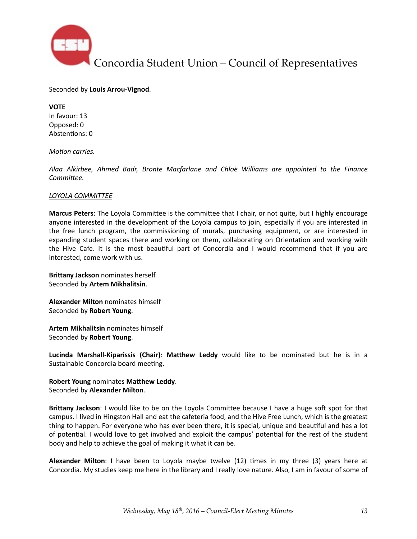

Seconded by **Louis Arrou-Vignod**. 

**VOTE**  In favour: 13 Opposed: 0 Abstentions: 0

*Motion carries.* 

*Alaa Alkirbee, Ahmed Badr, Bronte Macfarlane and Chloë Williams are appointed to the Finance Committee.* 

#### *LOYOLA COMMITTEE*

**Marcus Peters**: The Loyola Committee is the committee that I chair, or not quite, but I highly encourage anyone interested in the development of the Loyola campus to join, especially if you are interested in the free lunch program, the commissioning of murals, purchasing equipment, or are interested in expanding student spaces there and working on them, collaborating on Orientation and working with the Hive Cafe. It is the most beautiful part of Concordia and I would recommend that if you are interested, come work with us.

**Brittany Jackson** nominates herself. Seconded by **Artem Mikhalitsin**. 

**Alexander Milton** nominates himself Seconded by **Robert Young**. 

**Artem Mikhalitsin** nominates himself Seconded by **Robert Young**. 

**Lucinda Marshall-Kiparissis (Chair): Matthew Leddy** would like to be nominated but he is in a Sustainable Concordia board meeting.

**Robert Young** nominates Matthew Leddy. Seconded by **Alexander Milton**. 

**Brittany Jackson**: I would like to be on the Loyola Committee because I have a huge soft spot for that campus. I lived in Hingston Hall and eat the cafeteria food, and the Hive Free Lunch, which is the greatest thing to happen. For everyone who has ever been there, it is special, unique and beautiful and has a lot of potential. I would love to get involved and exploit the campus' potential for the rest of the student body and help to achieve the goal of making it what it can be.

**Alexander Milton**: I have been to Loyola maybe twelve (12) times in my three (3) years here at Concordia. My studies keep me here in the library and I really love nature. Also, I am in favour of some of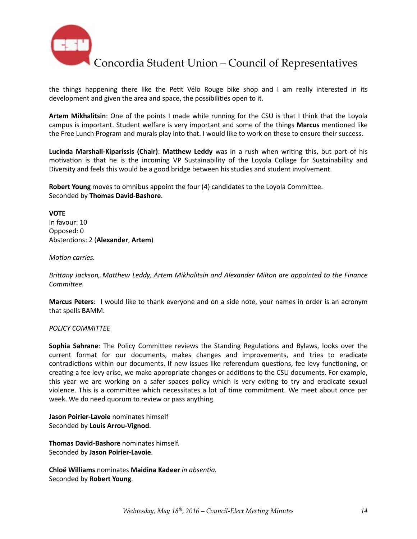

the things happening there like the Petit Vélo Rouge bike shop and I am really interested in its development and given the area and space, the possibilities open to it.

Artem Mikhalitsin: One of the points I made while running for the CSU is that I think that the Loyola campus is important. Student welfare is very important and some of the things **Marcus** mentioned like the Free Lunch Program and murals play into that. I would like to work on these to ensure their success.

**Lucinda Marshall-Kiparissis (Chair): Matthew Leddy** was in a rush when writing this, but part of his motivation is that he is the incoming VP Sustainability of the Loyola Collage for Sustainability and Diversity and feels this would be a good bridge between his studies and student involvement.

**Robert Young** moves to omnibus appoint the four (4) candidates to the Loyola Committee. Seconded by **Thomas David-Bashore**. 

**VOTE** In favour: 10 Opposed: 0 Abstentions: 2 (Alexander, Artem)

*Motion carries.* 

Brittany Jackson, Matthew Leddy, Artem Mikhalitsin and Alexander Milton are appointed to the Finance *Committee.* 

**Marcus Peters**: I would like to thank everyone and on a side note, your names in order is an acronym that spells BAMM.

#### *POLICY COMMITTEE*

**Sophia Sahrane**: The Policy Committee reviews the Standing Regulations and Bylaws, looks over the current format for our documents, makes changes and improvements, and tries to eradicate contradictions within our documents. If new issues like referendum questions, fee levy functioning, or creating a fee levy arise, we make appropriate changes or additions to the CSU documents. For example, this year we are working on a safer spaces policy which is very exiting to try and eradicate sexual violence. This is a committee which necessitates a lot of time commitment. We meet about once per week. We do need quorum to review or pass anything.

**Jason Poirier-Lavoie** nominates himself Seconded by **Louis Arrou-Vignod**. 

**Thomas David-Bashore** nominates himself. Seconded by **Jason Poirier-Lavoie**. 

**Chloë Williams** nominates Maidina Kadeer *in absentia*. Seconded by **Robert Young**.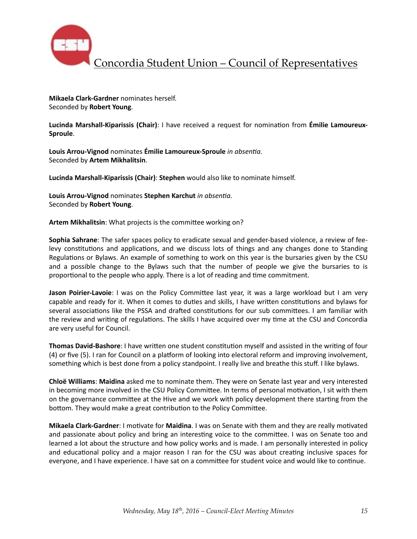

**Mikaela Clark-Gardner** nominates herself. Seconded by **Robert Young**. 

**Lucinda Marshall-Kiparissis (Chair)**: I have received a request for nomination from **Émilie Lamoureux-Sproule**. 

Louis Arrou-Vignod nominates **Émilie Lamoureux-Sproule** in absentia. Seconded by **Artem Mikhalitsin**. 

**Lucinda Marshall-Kiparissis (Chair): Stephen** would also like to nominate himself.

Louis Arrou-Vignod nominates Stephen Karchut *in absentia*. Seconded by **Robert Young**. 

Artem Mikhalitsin: What projects is the committee working on?

**Sophia Sahrane**: The safer spaces policy to eradicate sexual and gender-based violence, a review of feelevy constitutions and applications, and we discuss lots of things and any changes done to Standing Regulations or Bylaws. An example of something to work on this year is the bursaries given by the CSU and a possible change to the Bylaws such that the number of people we give the bursaries to is proportional to the people who apply. There is a lot of reading and time commitment.

**Jason Poirier-Lavoie**: I was on the Policy Committee last year, it was a large workload but I am very capable and ready for it. When it comes to duties and skills, I have written constitutions and bylaws for several associations like the PSSA and drafted constitutions for our sub committees. I am familiar with the review and writing of regulations. The skills I have acquired over my time at the CSU and Concordia are very useful for Council.

**Thomas David-Bashore**: I have written one student constitution myself and assisted in the writing of four (4) or five (5). I ran for Council on a platform of looking into electoral reform and improving involvement, something which is best done from a policy standpoint. I really live and breathe this stuff. I like bylaws.

**Chloë Williams: Maidina** asked me to nominate them. They were on Senate last year and very interested in becoming more involved in the CSU Policy Committee. In terms of personal motivation, I sit with them on the governance committee at the Hive and we work with policy development there starting from the bottom. They would make a great contribution to the Policy Committee.

**Mikaela Clark-Gardner**: I motivate for **Maidina**. I was on Senate with them and they are really motivated and passionate about policy and bring an interesting voice to the committee. I was on Senate too and learned a lot about the structure and how policy works and is made. I am personally interested in policy and educational policy and a major reason I ran for the CSU was about creating inclusive spaces for everyone, and I have experience. I have sat on a committee for student voice and would like to continue.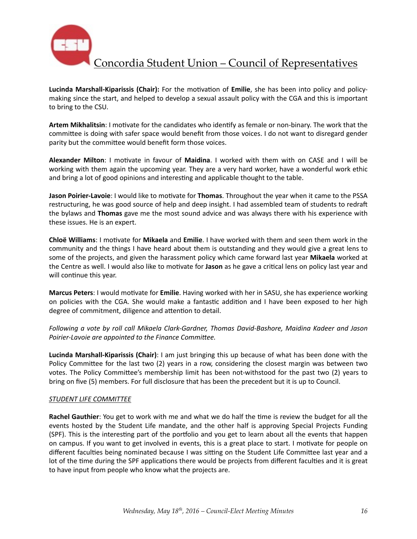

Lucinda Marshall-Kiparissis (Chair): For the motivation of Emilie, she has been into policy and policymaking since the start, and helped to develop a sexual assault policy with the CGA and this is important to bring to the CSU.

Artem Mikhalitsin: I motivate for the candidates who identify as female or non-binary. The work that the committee is doing with safer space would benefit from those voices. I do not want to disregard gender parity but the committee would benefit form those voices.

**Alexander Milton**: I motivate in favour of **Maidina**. I worked with them with on CASE and I will be working with them again the upcoming year. They are a very hard worker, have a wonderful work ethic and bring a lot of good opinions and interesting and applicable thought to the table.

**Jason Poirier-Lavoie**: I would like to motivate for Thomas. Throughout the year when it came to the PSSA restructuring, he was good source of help and deep insight. I had assembled team of students to redraft the bylaws and Thomas gave me the most sound advice and was always there with his experience with these issues. He is an expert.

**Chloë Williams:** I motivate for **Mikaela** and **Emilie**. I have worked with them and seen them work in the community and the things I have heard about them is outstanding and they would give a great lens to some of the projects, and given the harassment policy which came forward last year Mikaela worked at the Centre as well. I would also like to motivate for **Jason** as he gave a critical lens on policy last year and will continue this year.

**Marcus Peters**: I would motivate for *Emilie*. Having worked with her in SASU, she has experience working on policies with the CGA. She would make a fantastic addition and I have been exposed to her high degree of commitment, diligence and attention to detail.

*Following* a vote by roll call Mikaela Clark-Gardner, Thomas David-Bashore, Maidina Kadeer and Jason Poirier-Lavoie are appointed to the Finance Committee.

**Lucinda Marshall-Kiparissis (Chair)**: I am just bringing this up because of what has been done with the Policy Committee for the last two (2) years in a row, considering the closest margin was between two votes. The Policy Committee's membership limit has been not-withstood for the past two (2) years to bring on five (5) members. For full disclosure that has been the precedent but it is up to Council.

### *STUDENT LIFE COMMITTEE*

**Rachel Gauthier**: You get to work with me and what we do half the time is review the budget for all the events hosted by the Student Life mandate, and the other half is approving Special Projects Funding (SPF). This is the interesting part of the portfolio and you get to learn about all the events that happen on campus. If you want to get involved in events, this is a great place to start. I motivate for people on different faculties being nominated because I was sitting on the Student Life Committee last year and a lot of the time during the SPF applications there would be projects from different faculties and it is great to have input from people who know what the projects are.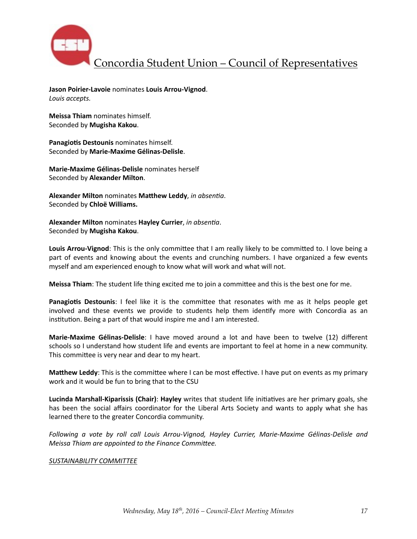

**Jason Poirier-Lavoie** nominates **Louis Arrou-Vignod**. Louis accepts.

**Meissa Thiam** nominates himself. Seconded by **Mugisha Kakou**.

Panagiotis Destounis nominates himself. Seconded by **Marie-Maxime Gélinas-Delisle**. 

**Marie-Maxime Gélinas-Delisle** nominates herself Seconded by **Alexander Milton**. 

**Alexander Milton** nominates Matthew Leddy, in absentia. Seconded by **Chloë Williams.** 

**Alexander Milton** nominates **Hayley Currier**, in absentia. Seconded by **Mugisha Kakou**.

**Louis Arrou-Vignod**: This is the only committee that I am really likely to be committed to. I love being a part of events and knowing about the events and crunching numbers. I have organized a few events myself and am experienced enough to know what will work and what will not.

**Meissa Thiam**: The student life thing excited me to join a committee and this is the best one for me.

**Panagiotis Destounis**: I feel like it is the committee that resonates with me as it helps people get involved and these events we provide to students help them identify more with Concordia as an institution. Being a part of that would inspire me and I am interested.

**Marie-Maxime Gélinas-Delisle**: I have moved around a lot and have been to twelve (12) different schools so I understand how student life and events are important to feel at home in a new community. This committee is very near and dear to my heart.

**Matthew Leddy**: This is the committee where I can be most effective. I have put on events as my primary work and it would be fun to bring that to the CSU

Lucinda Marshall-Kiparissis (Chair): Hayley writes that student life initiatives are her primary goals, she has been the social affairs coordinator for the Liberal Arts Society and wants to apply what she has learned there to the greater Concordia community.

*Following a vote by roll call Louis Arrou-Vignod, Hayley Currier, Marie-Maxime Gélinas-Delisle and Meissa Thiam are appointed to the Finance Committee.* 

### **SUSTAINABILITY COMMITTEE**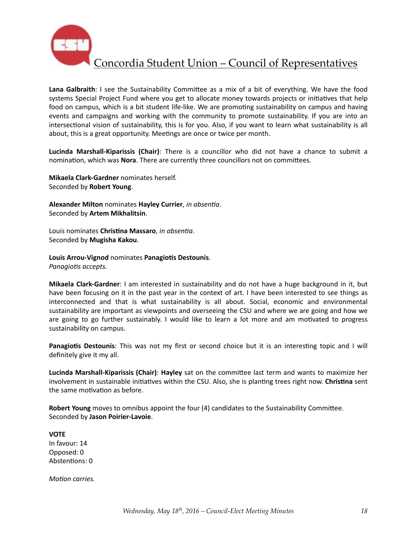

Lana Galbraith: I see the Sustainability Committee as a mix of a bit of everything. We have the food systems Special Project Fund where you get to allocate money towards projects or initiatives that help food on campus, which is a bit student life-like. We are promoting sustainability on campus and having events and campaigns and working with the community to promote sustainability. If you are into an intersectional vision of sustainability, this is for you. Also, if you want to learn what sustainability is all about, this is a great opportunity. Meetings are once or twice per month.

**Lucinda Marshall-Kiparissis (Chair)**: There is a councillor who did not have a chance to submit a nomination, which was **Nora**. There are currently three councillors not on committees.

**Mikaela Clark-Gardner** nominates herself. Seconded by **Robert Young**. 

**Alexander Milton** nominates **Hayley Currier**, in absentia. Seconded by **Artem Mikhalitsin**. 

Louis nominates *Christina Massaro*, *in absentia*. Seconded by **Mugisha Kakou**.

Louis Arrou-Vignod nominates Panagiotis Destounis. *Panagiotis accepts.* 

**Mikaela Clark-Gardner**: I am interested in sustainability and do not have a huge background in it, but have been focusing on it in the past year in the context of art. I have been interested to see things as interconnected and that is what sustainability is all about. Social, economic and environmental sustainability are important as viewpoints and overseeing the CSU and where we are going and how we are going to go further sustainably. I would like to learn a lot more and am motivated to progress sustainability on campus.

**Panagiotis Destounis**: This was not my first or second choice but it is an interesting topic and I will definitely give it my all.

**Lucinda Marshall-Kiparissis (Chair): Hayley** sat on the committee last term and wants to maximize her involvement in sustainable initiatives within the CSU. Also, she is planting trees right now. Christina sent the same motivation as before.

**Robert Young** moves to omnibus appoint the four (4) candidates to the Sustainability Committee. Seconded by **Jason Poirier-Lavoie**. 

**VOTE**  In favour: 14 Opposed: 0 Abstentions: 0

*Motion carries.*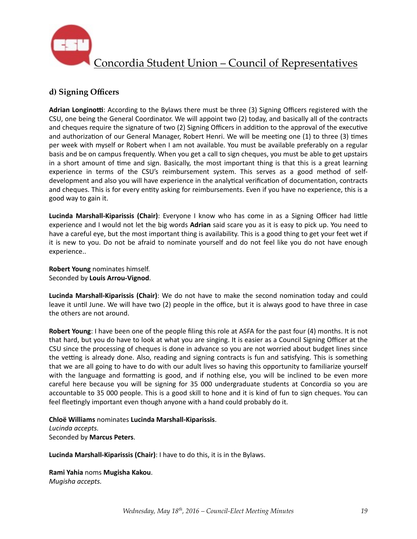

## **d) Signing Officers**

**Adrian Longinotti:** According to the Bylaws there must be three (3) Signing Officers registered with the CSU, one being the General Coordinator. We will appoint two (2) today, and basically all of the contracts and cheques require the signature of two (2) Signing Officers in addition to the approval of the executive and authorization of our General Manager, Robert Henri. We will be meeting one (1) to three (3) times per week with myself or Robert when I am not available. You must be available preferably on a regular basis and be on campus frequently. When you get a call to sign cheques, you must be able to get upstairs in a short amount of time and sign. Basically, the most important thing is that this is a great learning experience in terms of the CSU's reimbursement system. This serves as a good method of selfdevelopment and also you will have experience in the analytical verification of documentation, contracts and cheques. This is for every entity asking for reimbursements. Even if you have no experience, this is a good way to gain it.

**Lucinda Marshall-Kiparissis (Chair)**: Everyone I know who has come in as a Signing Officer had little experience and I would not let the big words Adrian said scare you as it is easy to pick up. You need to have a careful eye, but the most important thing is availability. This is a good thing to get your feet wet if it is new to you. Do not be afraid to nominate yourself and do not feel like you do not have enough experience.. 

**Robert Young** nominates himself. Seconded by **Louis Arrou-Vignod**. 

Lucinda Marshall-Kiparissis (Chair): We do not have to make the second nomination today and could leave it until June. We will have two (2) people in the office, but it is always good to have three in case the others are not around.

**Robert Young**: I have been one of the people filing this role at ASFA for the past four (4) months. It is not that hard, but you do have to look at what you are singing. It is easier as a Council Signing Officer at the CSU since the processing of cheques is done in advance so you are not worried about budget lines since the vetting is already done. Also, reading and signing contracts is fun and satisfying. This is something that we are all going to have to do with our adult lives so having this opportunity to familiarize yourself with the language and formatting is good, and if nothing else, you will be inclined to be even more careful here because you will be signing for 35 000 undergraduate students at Concordia so you are accountable to 35 000 people. This is a good skill to hone and it is kind of fun to sign cheques. You can feel fleetingly important even though anyone with a hand could probably do it.

**Chloë Williams** nominates **Lucinda Marshall-Kiparissis**. *Lucinda accepts.*  Seconded by **Marcus Peters**. 

Lucinda Marshall-Kiparissis (Chair): I have to do this, it is in the Bylaws.

**Rami Yahia** noms **Mugisha Kakou**. 

*Mugisha accepts.*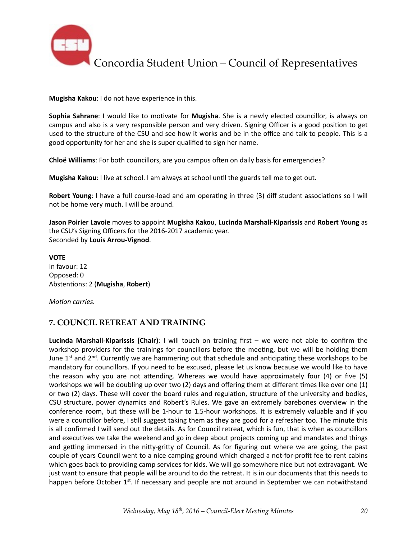

**Mugisha Kakou**: I do not have experience in this.

**Sophia Sahrane**: I would like to motivate for Mugisha. She is a newly elected councillor, is always on campus and also is a very responsible person and very driven. Signing Officer is a good position to get used to the structure of the CSU and see how it works and be in the office and talk to people. This is a good opportunity for her and she is super qualified to sign her name.

**Chloë Williams**: For both councillors, are you campus often on daily basis for emergencies?

**Mugisha Kakou**: I live at school. I am always at school until the guards tell me to get out.

**Robert Young**: I have a full course-load and am operating in three (3) diff student associations so I will not be home very much. I will be around.

**Jason Poirier Lavoie** moves to appoint Mugisha Kakou, Lucinda Marshall-Kiparissis and Robert Young as the CSU's Signing Officers for the 2016-2017 academic year. Seconded by **Louis Arrou-Vignod**. 

**VOTE** In favour: 12 Opposed: 0 Abstentions: 2 (Mugisha, Robert)

*Motion carries.* 

# **7. COUNCIL RETREAT AND TRAINING**

Lucinda Marshall-Kiparissis (Chair): I will touch on training first - we were not able to confirm the workshop providers for the trainings for councillors before the meeting, but we will be holding them June  $1<sup>st</sup>$  and  $2<sup>nd</sup>$ . Currently we are hammering out that schedule and anticipating these workshops to be mandatory for councillors. If you need to be excused, please let us know because we would like to have the reason why you are not attending. Whereas we would have approximately four  $(4)$  or five  $(5)$ workshops we will be doubling up over two (2) days and offering them at different times like over one (1) or two (2) days. These will cover the board rules and regulation, structure of the university and bodies, CSU structure, power dynamics and Robert's Rules. We gave an extremely barebones overview in the conference room, but these will be 1-hour to 1.5-hour workshops. It is extremely valuable and if you were a councillor before, I still suggest taking them as they are good for a refresher too. The minute this is all confirmed I will send out the details. As for Council retreat, which is fun, that is when as councillors and executives we take the weekend and go in deep about projects coming up and mandates and things and getting immersed in the nitty-gritty of Council. As for figuring out where we are going, the past couple of years Council went to a nice camping ground which charged a not-for-profit fee to rent cabins which goes back to providing camp services for kids. We will go somewhere nice but not extravagant. We just want to ensure that people will be around to do the retreat. It is in our documents that this needs to happen before October 1<sup>st</sup>. If necessary and people are not around in September we can notwithstand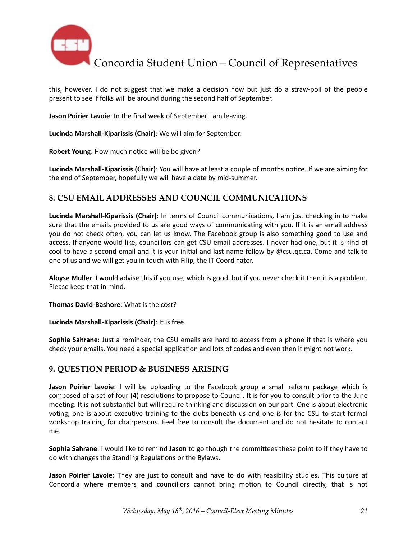

this, however. I do not suggest that we make a decision now but just do a straw-poll of the people present to see if folks will be around during the second half of September.

**Jason Poirier Lavoie**: In the final week of September I am leaving.

Lucinda Marshall-Kiparissis (Chair): We will aim for September.

**Robert Young:** How much notice will be be given?

**Lucinda Marshall-Kiparissis (Chair)**: You will have at least a couple of months notice. If we are aiming for the end of September, hopefully we will have a date by mid-summer.

### **8. CSU EMAIL ADDRESSES AND COUNCIL COMMUNICATIONS**

**Lucinda Marshall-Kiparissis (Chair)**: In terms of Council communications, I am just checking in to make sure that the emails provided to us are good ways of communicating with you. If it is an email address you do not check often, you can let us know. The Facebook group is also something good to use and access. If anyone would like, councillors can get CSU email addresses. I never had one, but it is kind of cool to have a second email and it is your initial and last name follow by @csu.gc.ca. Come and talk to one of us and we will get you in touch with Filip, the IT Coordinator.

**Aloyse Muller**: I would advise this if you use, which is good, but if you never check it then it is a problem. Please keep that in mind.

**Thomas David-Bashore:** What is the cost?

Lucinda Marshall-Kiparissis (Chair): It is free.

**Sophie Sahrane**: Just a reminder, the CSU emails are hard to access from a phone if that is where you check your emails. You need a special application and lots of codes and even then it might not work.

### **9. QUESTION PERIOD & BUSINESS ARISING**

**Jason Poirier Lavoie**: I will be uploading to the Facebook group a small reform package which is composed of a set of four (4) resolutions to propose to Council. It is for you to consult prior to the June meeting. It is not substantial but will require thinking and discussion on our part. One is about electronic voting, one is about executive training to the clubs beneath us and one is for the CSU to start formal workshop training for chairpersons. Feel free to consult the document and do not hesitate to contact me. 

**Sophia Sahrane:** I would like to remind Jason to go though the committees these point to if they have to do with changes the Standing Regulations or the Bylaws.

**Jason Poirier Lavoie**: They are just to consult and have to do with feasibility studies. This culture at Concordia where members and councillors cannot bring motion to Council directly, that is not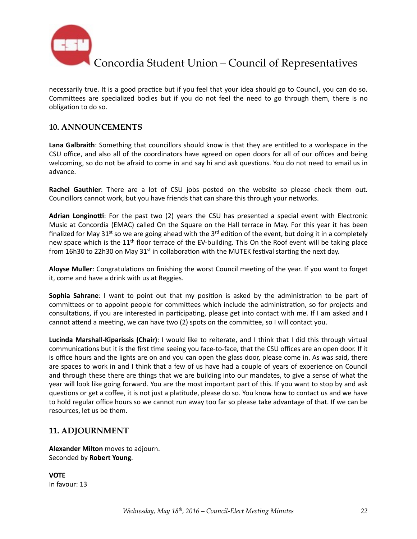

necessarily true. It is a good practice but if you feel that your idea should go to Council, you can do so. Committees are specialized bodies but if you do not feel the need to go through them, there is no obligation to do so.

## **10. ANNOUNCEMENTS**

Lana Galbraith: Something that councillors should know is that they are entitled to a workspace in the CSU office, and also all of the coordinators have agreed on open doors for all of our offices and being welcoming, so do not be afraid to come in and say hi and ask questions. You do not need to email us in advance. 

**Rachel Gauthier**: There are a lot of CSU jobs posted on the website so please check them out. Councillors cannot work, but you have friends that can share this through your networks.

Adrian Longinotti: For the past two (2) years the CSU has presented a special event with Electronic Music at Concordia (EMAC) called On the Square on the Hall terrace in May. For this year it has been finalized for May 31<sup>st</sup> so we are going ahead with the  $3^{rd}$  edition of the event, but doing it in a completely new space which is the  $11<sup>th</sup>$  floor terrace of the EV-building. This On the Roof event will be taking place from 16h30 to 22h30 on May 31<sup>st</sup> in collaboration with the MUTEK festival starting the next day.

Aloyse Muller: Congratulations on finishing the worst Council meeting of the year. If you want to forget it, come and have a drink with us at Reggies.

**Sophia Sahrane**: I want to point out that my position is asked by the administration to be part of committees or to appoint people for committees which include the administration, so for projects and consultations, if you are interested in participating, please get into contact with me. If I am asked and I cannot attend a meeting, we can have two (2) spots on the committee, so I will contact you.

Lucinda Marshall-Kiparissis (Chair): I would like to reiterate, and I think that I did this through virtual communications but it is the first time seeing you face-to-face, that the CSU offices are an open door. If it is office hours and the lights are on and you can open the glass door, please come in. As was said, there are spaces to work in and I think that a few of us have had a couple of years of experience on Council and through these there are things that we are building into our mandates, to give a sense of what the year will look like going forward. You are the most important part of this. If you want to stop by and ask questions or get a coffee, it is not just a platitude, please do so. You know how to contact us and we have to hold regular office hours so we cannot run away too far so please take advantage of that. If we can be resources, let us be them.

## **11. ADJOURNMENT**

**Alexander Milton** moves to adjourn. Seconded by **Robert Young**. 

**VOTE** In favour: 13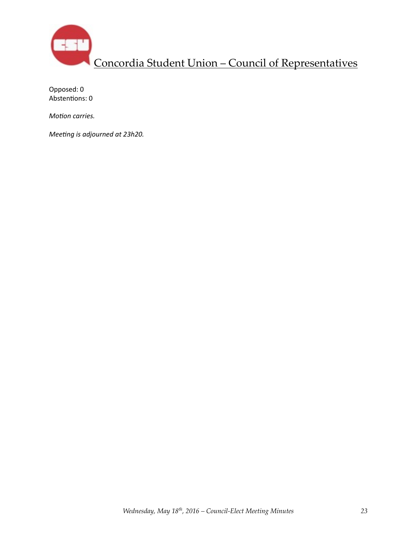

Opposed: 0 Abstentions: 0

*Motion carries.* 

*Meeting is adjourned at 23h20.*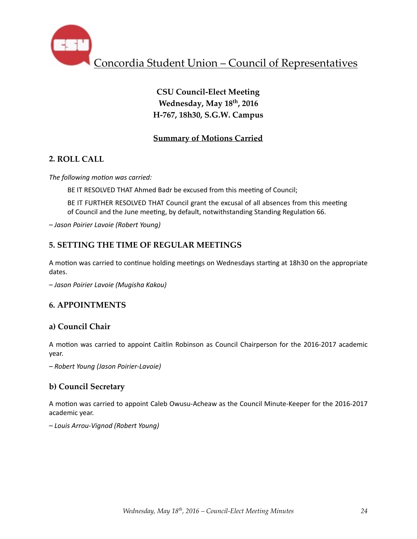

# **CSU Council-Elect Meeting Wednesday, May 18th, 2016 H-767, 18h30, S.G.W. Campus**

## **Summary of Motions Carried**

## **2. ROLL CALL**

The following motion was carried:

BE IT RESOLVED THAT Ahmed Badr be excused from this meeting of Council;

BE IT FURTHER RESOLVED THAT Council grant the excusal of all absences from this meeting of Council and the June meeting, by default, notwithstanding Standing Regulation 66.

*– Jason Poirier Lavoie (Robert Young)* 

## **5. SETTING THE TIME OF REGULAR MEETINGS**

A motion was carried to continue holding meetings on Wednesdays starting at 18h30 on the appropriate dates. 

*– Jason Poirier Lavoie (Mugisha Kakou)* 

## **6. APPOINTMENTS**

## **a) Council Chair**

A motion was carried to appoint Caitlin Robinson as Council Chairperson for the 2016-2017 academic year. 

*– Robert Young (Jason Poirier-Lavoie)* 

## **b) Council Secretary**

A motion was carried to appoint Caleb Owusu-Acheaw as the Council Minute-Keeper for the 2016-2017 academic year.

*– Louis Arrou-Vignod (Robert Young)*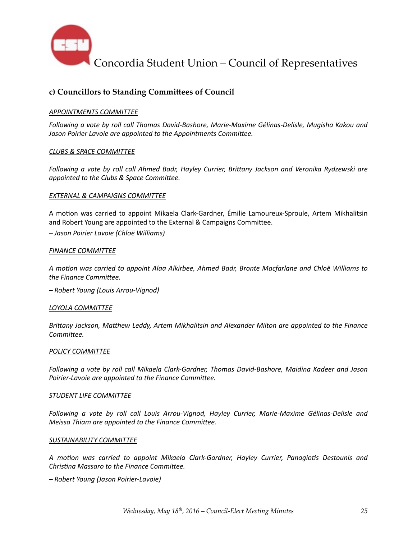

## c) Councillors to Standing Committees of Council

### **APPOINTMENTS COMMITTEE**

Following a vote by roll call Thomas David-Bashore, Marie-Maxime Gélinas-Delisle, Mugisha Kakou and Jason Poirier Lavoie are appointed to the Appointments Committee.

### *CLUBS & SPACE COMMITTEE*

*Following* a vote by roll call Ahmed Badr, Hayley Currier, Brittany Jackson and Veronika Rydzewski are appointed to the Clubs & Space Committee.

### **EXTERNAL & CAMPAIGNS COMMITTEE**

A motion was carried to appoint Mikaela Clark-Gardner, Émilie Lamoureux-Sproule, Artem Mikhalitsin and Robert Young are appointed to the External & Campaigns Committee. *– Jason Poirier Lavoie (Chloë Williams)*

#### **FINANCE COMMITTEE**

*A mo6on was carried to appoint Alaa Alkirbee, Ahmed Badr, Bronte Macfarlane and Chloë Williams to*  the Finance Committee.

*– Robert Young (Louis Arrou-Vignod)*

#### *LOYOLA COMMITTEE*

Brittany Jackson, Matthew Leddy, Artem Mikhalitsin and Alexander Milton are appointed to the Finance Committee.

#### **POLICY COMMITTEE**

Following a vote by roll call Mikaela Clark-Gardner, Thomas David-Bashore, Maidina Kadeer and Jason Poirier-Lavoie are appointed to the Finance Committee.

#### **STUDENT LIFE COMMITTEE**

Following a vote by roll call Louis Arrou-Vignod, Hayley Currier, Marie-Maxime Gélinas-Delisle and *Meissa Thiam are appointed to the Finance Committee.* 

#### SUSTAINABILITY COMMITTEE

*A mo6on was carried to appoint Mikaela Clark-Gardner, Hayley Currier, Panagio6s Destounis and Christina Massaro to the Finance Committee.* 

*– Robert Young (Jason Poirier-Lavoie)*